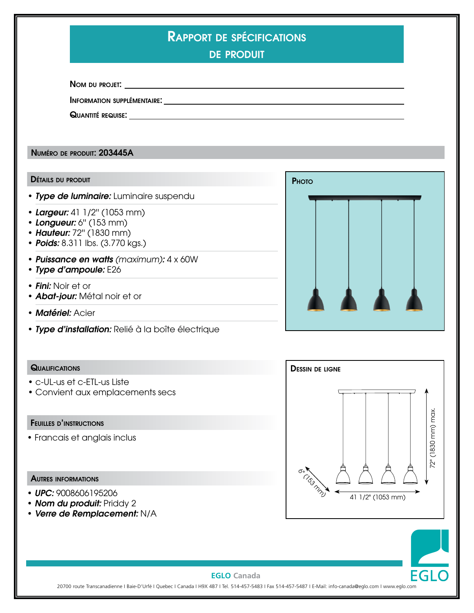# Rapport de spécifications

de produit

Nom du projet:

Information supplémentaire:

Quantité requise:

Numéro de produit: 203445A

#### Détails du produit

- *Type de luminaire:* Luminaire suspendu
- *Largeur:* 41 1/2'' (1053 mm)
- *Longueur:* 6'' (153 mm)
- *Hauteur:* 72'' (1830 mm)
- **Poids:** 8.311 lbs. (3.770 kgs.)
- *Puissance en watts (maximum):* 4 x 60W
- *Type d'ampoule:* E26
- • *Fini:* Noir et or
- *Abat-jour:* Métal noir et or
- *Matériel:* Acier
- *Type d'installation:* Relié à la boîte électrique



### **QUALIFICATIONS**

- c-UL-us et c-ETL-us Liste
- Convient aux emplacements secs

# Feuilles d'instructions

• Francais et anglais inclus

### Autres informations

- *UPC:* 9008606195206
- *Nom du produit:* Priddy 2
- *Verre de Remplacement:* N/A





### **EGLO Canada**

20700 route Transcanadienne I Baie-D'Urfé I Quebec I Canada I H9X 4B7 I Tel. 514-457-5483 I Fax 514-457-5487 I E-Mail: info-canada@eglo.com I www.eglo.com